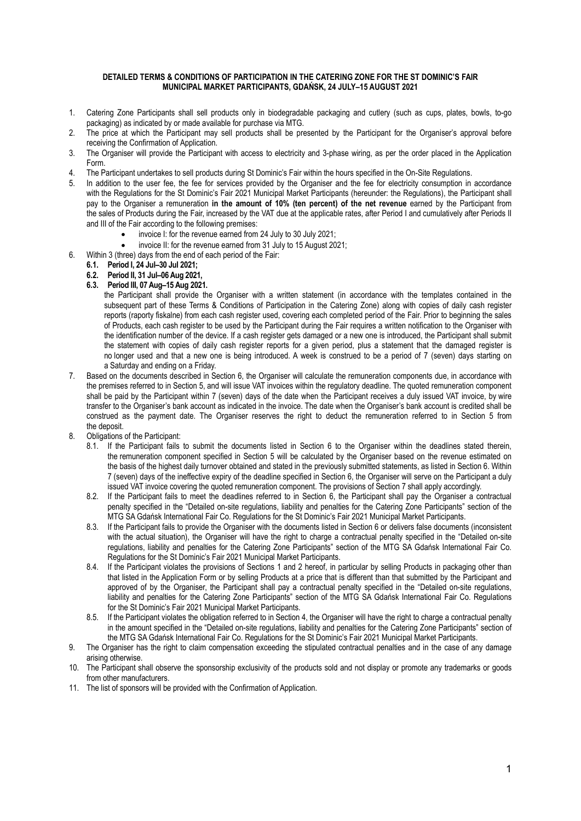#### DETAILED TERMS & CONDITIONS OF PARTICIPATION IN THE CATERING ZONE FOR THE ST DOMINIC'S FAIR MUNICIPAL MARKET PARTICIPANTS, GDAŃSK, 24 JULY–15 AUGUST 2021

- 1. Catering Zone Participants shall sell products only in biodegradable packaging and cutlery (such as cups, plates, bowls, to-go packaging) as indicated by or made available for purchase via MTG.
- 2. The price at which the Participant may sell products shall be presented by the Participant for the Organiser's approval before receiving the Confirmation of Application.
- 3. The Organiser will provide the Participant with access to electricity and 3-phase wiring, as per the order placed in the Application Form.
- 4. The Participant undertakes to sell products during St Dominic's Fair within the hours specified in the On-Site Regulations.
- 5. In addition to the user fee, the fee for services provided by the Organiser and the fee for electricity consumption in accordance with the Regulations for the St Dominic's Fair 2021 Municipal Market Participants (hereunder: the Regulations), the Participant shall pay to the Organiser a remuneration in the amount of 10% (ten percent) of the net revenue earned by the Participant from the sales of Products during the Fair, increased by the VAT due at the applicable rates, after Period I and cumulatively after Periods II and III of the Fair according to the following premises:
	- invoice I: for the revenue earned from 24 July to 30 July 2021;
	- invoice II: for the revenue earned from 31 July to 15 August 2021;
- 6. Within 3 (three) days from the end of each period of the Fair:
	- 6.1. Period I, 24 Jul–30 Jul 2021;
	- 6.2. Period II, 31 Jul–06 Aug 2021,
	- 6.3. Period III, 07 Aug–15 Aug 2021.
		- the Participant shall provide the Organiser with a written statement (in accordance with the templates contained in the subsequent part of these Terms & Conditions of Participation in the Catering Zone) along with copies of daily cash register reports (raporty fiskalne) from each cash register used, covering each completed period of the Fair. Prior to beginning the sales of Products, each cash register to be used by the Participant during the Fair requires a written notification to the Organiser with the identification number of the device. If a cash register gets damaged or a new one is introduced, the Participant shall submit the statement with copies of daily cash register reports for a given period, plus a statement that the damaged register is no longer used and that a new one is being introduced. A week is construed to be a period of 7 (seven) days starting on a Saturday and ending on a Friday.
- 7. Based on the documents described in Section 6, the Organiser will calculate the remuneration components due, in accordance with the premises referred to in Section 5, and will issue VAT invoices within the regulatory deadline. The quoted remuneration component shall be paid by the Participant within 7 (seven) days of the date when the Participant receives a duly issued VAT invoice, by wire transfer to the Organiser's bank account as indicated in the invoice. The date when the Organiser's bank account is credited shall be construed as the payment date. The Organiser reserves the right to deduct the remuneration referred to in Section 5 from the deposit.
- 8. Obligations of the Participant:
	- 8.1. If the Participant fails to submit the documents listed in Section 6 to the Organiser within the deadlines stated therein, the remuneration component specified in Section 5 will be calculated by the Organiser based on the revenue estimated on the basis of the highest daily turnover obtained and stated in the previously submitted statements, as listed in Section 6. Within 7 (seven) days of the ineffective expiry of the deadline specified in Section 6, the Organiser will serve on the Participant a duly issued VAT invoice covering the quoted remuneration component. The provisions of Section 7 shall apply accordingly.
	- 8.2. If the Participant fails to meet the deadlines referred to in Section 6, the Participant shall pay the Organiser a contractual penalty specified in the "Detailed on-site regulations, liability and penalties for the Catering Zone Participants" section of the MTG SA Gdańsk International Fair Co. Regulations for the St Dominic's Fair 2021 Municipal Market Participants.
	- 8.3. If the Participant fails to provide the Organiser with the documents listed in Section 6 or delivers false documents (inconsistent with the actual situation), the Organiser will have the right to charge a contractual penalty specified in the "Detailed on-site regulations, liability and penalties for the Catering Zone Participants" section of the MTG SA Gdańsk International Fair Co. Regulations for the St Dominic's Fair 2021 Municipal Market Participants.
	- 8.4. If the Participant violates the provisions of Sections 1 and 2 hereof, in particular by selling Products in packaging other than that listed in the Application Form or by selling Products at a price that is different than that submitted by the Participant and approved of by the Organiser, the Participant shall pay a contractual penalty specified in the "Detailed on-site regulations, liability and penalties for the Catering Zone Participants" section of the MTG SA Gdańsk International Fair Co. Regulations for the St Dominic's Fair 2021 Municipal Market Participants.
	- 8.5. If the Participant violates the obligation referred to in Section 4, the Organiser will have the right to charge a contractual penalty in the amount specified in the "Detailed on-site regulations, liability and penalties for the Catering Zone Participants" section of the MTG SA Gdańsk International Fair Co. Regulations for the St Dominic's Fair 2021 Municipal Market Participants.
- 9. The Organiser has the right to claim compensation exceeding the stipulated contractual penalties and in the case of any damage arising otherwise.
- 10. The Participant shall observe the sponsorship exclusivity of the products sold and not display or promote any trademarks or goods from other manufacturers.
- 11. The list of sponsors will be provided with the Confirmation of Application.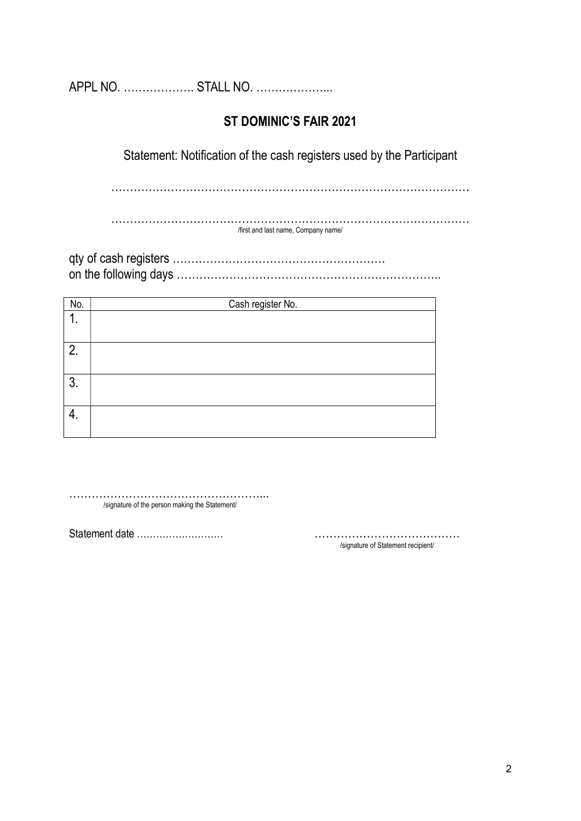APPL NO. ………………. STALL NO. ………………...

# ST DOMINIC'S FAIR 2021

Statement: Notification of the cash registers used by the Participant

……………………………………………………………………………………

…………………………………………………………………………………… /first and last name, Company name/

qty of cash registers ………………………………………………… on the following days ……………………………………………………………..

| No. | Cash register No. |
|-----|-------------------|
| ι.  |                   |
|     |                   |
| 2.  |                   |
|     |                   |
| 3.  |                   |
|     |                   |
| 4.  |                   |
|     |                   |

……………………………………………... /signature of the person making the Statement/

Statement date ……………………… …………………………………

/signature of Statement recipient/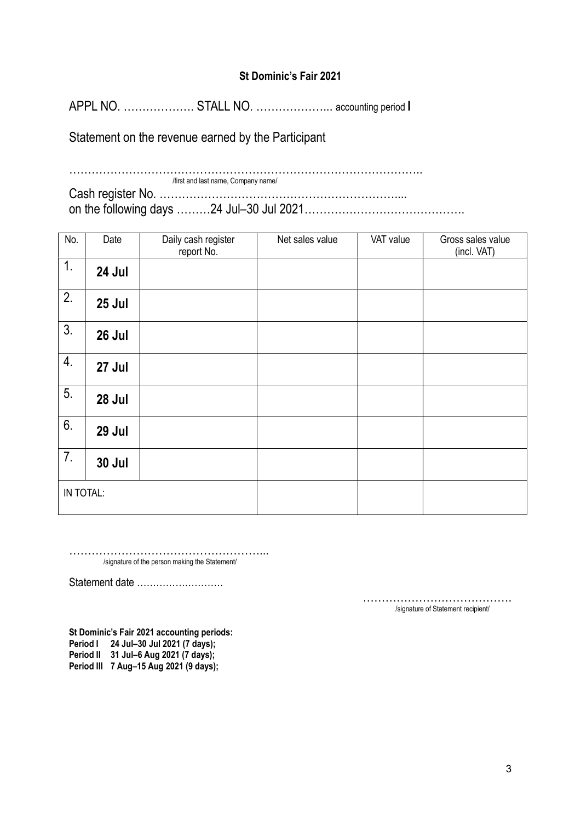APPL NO. ................... STALL NO. ...................... accounting period I

Statement on the revenue earned by the Participant

| first and last name, Company name/ |
|------------------------------------|
|                                    |
|                                    |

| No.       | Date          | Daily cash register<br>report No. | Net sales value | VAT value | Gross sales value<br>(incl. VAT) |
|-----------|---------------|-----------------------------------|-----------------|-----------|----------------------------------|
| 1.        | 24 Jul        |                                   |                 |           |                                  |
| 2.        | 25 Jul        |                                   |                 |           |                                  |
| 3.        | 26 Jul        |                                   |                 |           |                                  |
| 4.        | 27 Jul        |                                   |                 |           |                                  |
| 5.        | 28 Jul        |                                   |                 |           |                                  |
| 6.        | 29 Jul        |                                   |                 |           |                                  |
| 7.        | <b>30 Jul</b> |                                   |                 |           |                                  |
| IN TOTAL: |               |                                   |                 |           |                                  |

……………………………………………... /signature of the person making the Statement/

Statement date ………………………

…………………………………. /signature of Statement recipient/

St Dominic's Fair 2021 accounting periods: Period I 24 Jul-30 Jul 2021 (7 days); Period II 31 Jul–6 Aug 2021 (7 days); Period III 7 Aug–15 Aug 2021 (9 days);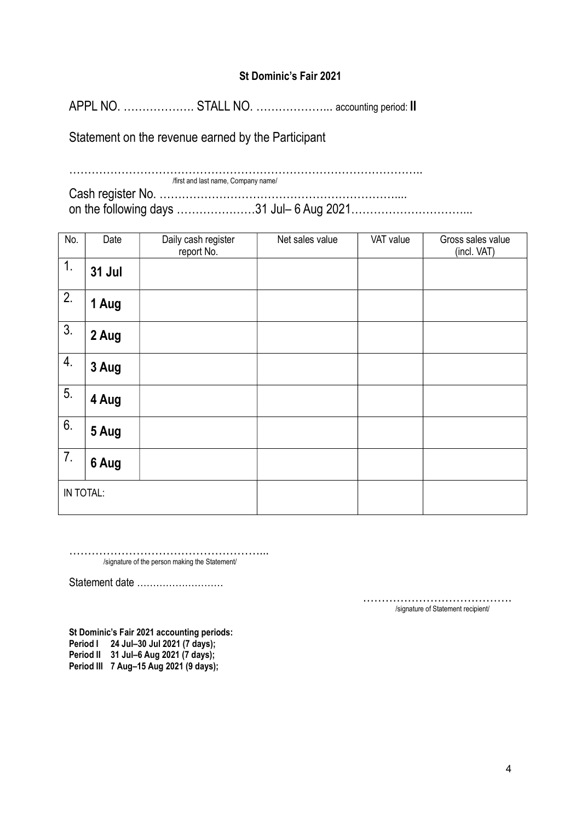APPL NO. ................... STALL NO. ...................... accounting period: II

Statement on the revenue earned by the Participant

| first and last name, Company name/       |
|------------------------------------------|
|                                          |
| on the following days 31 Jul- 6 Aug 2021 |

| No.       | Date          | Daily cash register<br>report No. | Net sales value | VAT value | Gross sales value<br>(incl. VAT) |
|-----------|---------------|-----------------------------------|-----------------|-----------|----------------------------------|
| 1.        | <b>31 Jul</b> |                                   |                 |           |                                  |
| 2.        | 1 Aug         |                                   |                 |           |                                  |
| 3.        | 2 Aug         |                                   |                 |           |                                  |
| 4.        | 3 Aug         |                                   |                 |           |                                  |
| 5.        | 4 Aug         |                                   |                 |           |                                  |
| 6.        | 5 Aug         |                                   |                 |           |                                  |
| 7.        | 6 Aug         |                                   |                 |           |                                  |
| IN TOTAL: |               |                                   |                 |           |                                  |

……………………………………………... /signature of the person making the Statement/

Statement date ………………………

…………………………………. /signature of Statement recipient/

St Dominic's Fair 2021 accounting periods: Period I 24 Jul-30 Jul 2021 (7 days); Period II 31 Jul–6 Aug 2021 (7 days); Period III 7 Aug–15 Aug 2021 (9 days);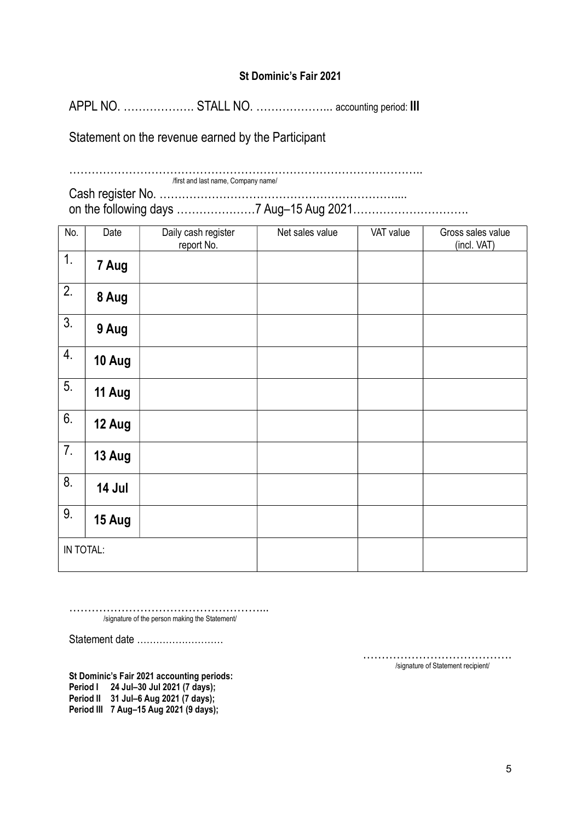APPL NO. ................... STALL NO. ....................... accounting period: III

Statement on the revenue earned by the Participant

| /first and last name, Company name/ |
|-------------------------------------|
|                                     |
|                                     |

| No.       | Date   | Daily cash register<br>report No. | Net sales value | VAT value | Gross sales value<br>(incl. VAT) |
|-----------|--------|-----------------------------------|-----------------|-----------|----------------------------------|
| 1.        | 7 Aug  |                                   |                 |           |                                  |
| 2.        | 8 Aug  |                                   |                 |           |                                  |
| 3.        | 9 Aug  |                                   |                 |           |                                  |
| 4.        | 10 Aug |                                   |                 |           |                                  |
| 5.        | 11 Aug |                                   |                 |           |                                  |
| 6.        | 12 Aug |                                   |                 |           |                                  |
| 7.        | 13 Aug |                                   |                 |           |                                  |
| 8.        | 14 Jul |                                   |                 |           |                                  |
| 9.        | 15 Aug |                                   |                 |           |                                  |
| IN TOTAL: |        |                                   |                 |           |                                  |

……………………………………………... /signature of the person making the Statement/

Statement date ………………………

…………………………………. /signature of Statement recipient/

St Dominic's Fair 2021 accounting periods:

Period I 24 Jul–30 Jul 2021 (7 days);

Period II 31 Jul–6 Aug 2021 (7 days);

Period III 7 Aug–15 Aug 2021 (9 days);